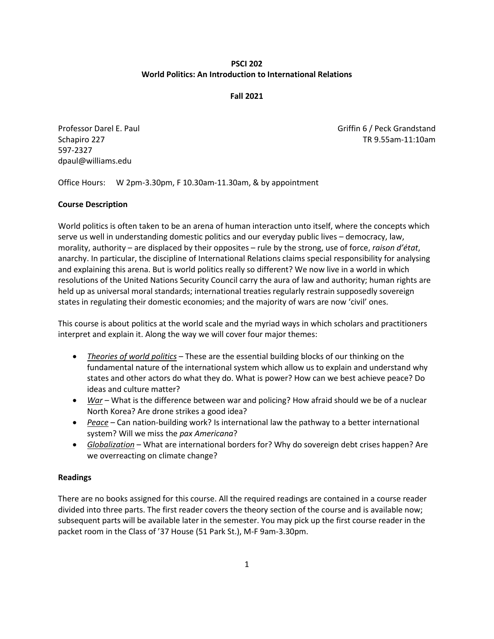## **PSCI 202 World Politics: An Introduction to International Relations**

#### **Fall 2021**

597-2327 dpaul@williams.edu

Professor Darel E. Paul Griffin 6 / Peck Grandstand Schapiro 227 TR 9.55am-11:10am

Office Hours: W 2pm-3.30pm, F 10.30am-11.30am, & by appointment

### **Course Description**

World politics is often taken to be an arena of human interaction unto itself, where the concepts which serve us well in understanding domestic politics and our everyday public lives – democracy, law, morality, authority – are displaced by their opposites – rule by the strong, use of force, *raison d'état*, anarchy. In particular, the discipline of International Relations claims special responsibility for analysing and explaining this arena. But is world politics really so different? We now live in a world in which resolutions of the United Nations Security Council carry the aura of law and authority; human rights are held up as universal moral standards; international treaties regularly restrain supposedly sovereign states in regulating their domestic economies; and the majority of wars are now 'civil' ones.

This course is about politics at the world scale and the myriad ways in which scholars and practitioners interpret and explain it. Along the way we will cover four major themes:

- *Theories of world politics* These are the essential building blocks of our thinking on the fundamental nature of the international system which allow us to explain and understand why states and other actors do what they do. What is power? How can we best achieve peace? Do ideas and culture matter?
- *War* What is the difference between war and policing? How afraid should we be of a nuclear North Korea? Are drone strikes a good idea?
- *Peace* Can nation-building work? Is international law the pathway to a better international system? Will we miss the *pax Americana*?
- *Globalization* What are international borders for? Why do sovereign debt crises happen? Are we overreacting on climate change?

#### **Readings**

There are no books assigned for this course. All the required readings are contained in a course reader divided into three parts. The first reader covers the theory section of the course and is available now; subsequent parts will be available later in the semester. You may pick up the first course reader in the packet room in the Class of '37 House (51 Park St.), M-F 9am-3.30pm.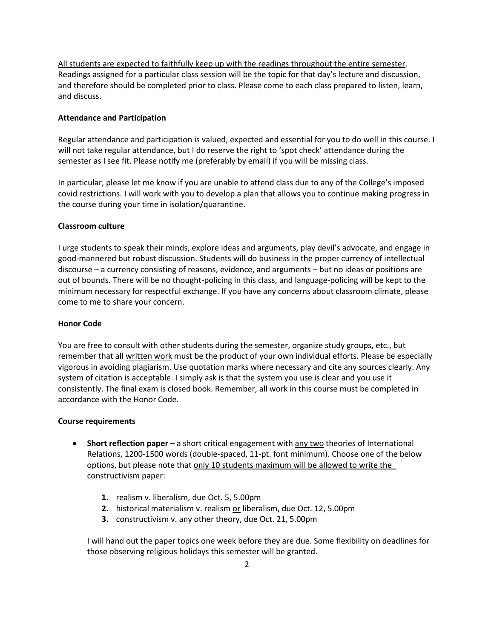All students are expected to faithfully keep up with the readings throughout the entire semester. Readings assigned for a particular class session will be the topic for that day's lecture and discussion, and therefore should be completed prior to class. Please come to each class prepared to listen, learn, and discuss.

### **Attendance and Participation**

Regular attendance and participation is valued, expected and essential for you to do well in this course. I will not take regular attendance, but I do reserve the right to 'spot check' attendance during the semester as I see fit. Please notify me (preferably by email) if you will be missing class.

In particular, please let me know if you are unable to attend class due to any of the College's imposed covid restrictions. I will work with you to develop a plan that allows you to continue making progress in the course during your time in isolation/quarantine.

#### **Classroom culture**

I urge students to speak their minds, explore ideas and arguments, play devil's advocate, and engage in good-mannered but robust discussion. Students will do business in the proper currency of intellectual discourse – a currency consisting of reasons, evidence, and arguments – but no ideas or positions are out of bounds. There will be no thought-policing in this class, and language-policing will be kept to the minimum necessary for respectful exchange. If you have any concerns about classroom climate, please come to me to share your concern.

#### **Honor Code**

You are free to consult with other students during the semester, organize study groups, etc., but remember that all written work must be the product of your own individual efforts. Please be especially vigorous in avoiding plagiarism. Use quotation marks where necessary and cite any sources clearly. Any system of citation is acceptable. I simply ask is that the system you use is clear and you use it consistently. The final exam is closed book. Remember, all work in this course must be completed in accordance with the Honor Code.

#### **Course requirements**

- **Short reflection paper** a short critical engagement with any two theories of International Relations, 1200-1500 words (double-spaced, 11-pt. font minimum). Choose one of the below options, but please note that only 10 students maximum will be allowed to write the constructivism paper:
	- **1.** realism v. liberalism, due Oct. 5, 5.00pm
	- **2.** historical materialism v. realism or liberalism, due Oct. 12, 5.00pm
	- **3.** constructivism v. any other theory, due Oct. 21, 5.00pm

I will hand out the paper topics one week before they are due. Some flexibility on deadlines for those observing religious holidays this semester will be granted.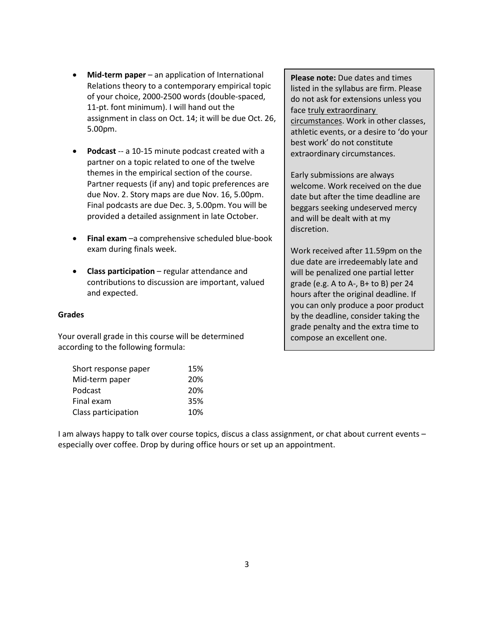- **Mid-term paper** an application of International Relations theory to a contemporary empirical topic of your choice, 2000-2500 words (double-spaced, 11-pt. font minimum). I will hand out the assignment in class on Oct. 14; it will be due Oct. 26, 5.00pm.
- **Podcast** -- a 10-15 minute podcast created with a partner on a topic related to one of the twelve themes in the empirical section of the course. Partner requests (if any) and topic preferences are due Nov. 2. Story maps are due Nov. 16, 5.00pm. Final podcasts are due Dec. 3, 5.00pm. You will be provided a detailed assignment in late October.
- **Final exam** –a comprehensive scheduled blue-book exam during finals week.
- **Class participation** regular attendance and contributions to discussion are important, valued and expected.

## **Grades**

Your overall grade in this course will be determined according to the following formula:

| Short response paper | 15% |
|----------------------|-----|
| Mid-term paper       | 20% |
| Podcast              | 20% |
| Final exam           | 35% |
| Class participation  | 10% |

**Please note:** Due dates and times listed in the syllabus are firm. Please do not ask for extensions unless you face truly extraordinary circumstances. Work in other classes, athletic events, or a desire to 'do your best work' do not constitute extraordinary circumstances.

Early submissions are always welcome. Work received on the due date but after the time deadline are beggars seeking undeserved mercy and will be dealt with at my discretion.

Work received after 11.59pm on the due date are irredeemably late and will be penalized one partial letter grade (e.g. A to A-, B+ to B) per 24 hours after the original deadline. If you can only produce a poor product by the deadline, consider taking the grade penalty and the extra time to compose an excellent one.

I am always happy to talk over course topics, discus a class assignment, or chat about current events – especially over coffee. Drop by during office hours or set up an appointment.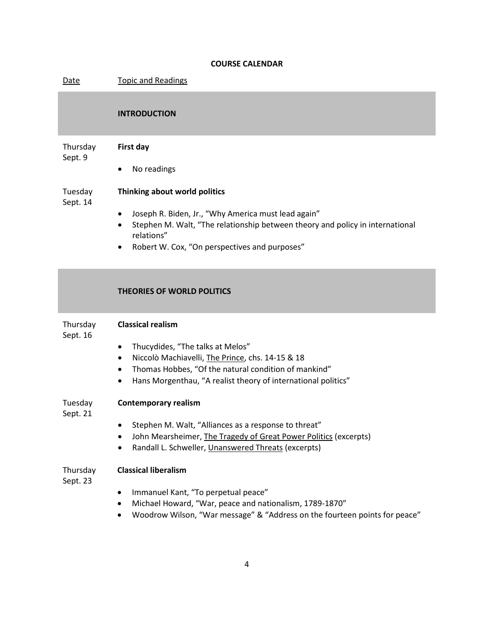## **COURSE CALENDAR**

| Date                 | <b>Topic and Readings</b>                                                                                                                                                                                                                                                             |
|----------------------|---------------------------------------------------------------------------------------------------------------------------------------------------------------------------------------------------------------------------------------------------------------------------------------|
|                      | <b>INTRODUCTION</b>                                                                                                                                                                                                                                                                   |
| Thursday<br>Sept. 9  | First day<br>No readings<br>٠                                                                                                                                                                                                                                                         |
| Tuesday<br>Sept. 14  | Thinking about world politics<br>Joseph R. Biden, Jr., "Why America must lead again"<br>$\bullet$<br>Stephen M. Walt, "The relationship between theory and policy in international<br>$\bullet$<br>relations"<br>Robert W. Cox, "On perspectives and purposes"<br>٠                   |
|                      | <b>THEORIES OF WORLD POLITICS</b>                                                                                                                                                                                                                                                     |
| Thursday<br>Sept. 16 | <b>Classical realism</b><br>Thucydides, "The talks at Melos"<br>$\bullet$<br>Niccolò Machiavelli, The Prince, chs. 14-15 & 18<br>٠<br>Thomas Hobbes, "Of the natural condition of mankind"<br>$\bullet$<br>Hans Morgenthau, "A realist theory of international politics"<br>$\bullet$ |
| Tuesday<br>Sept. 21  | <b>Contemporary realism</b><br>Stephen M. Walt, "Alliances as a response to threat"<br>John Mearsheimer, The Tragedy of Great Power Politics (excerpts)<br>Randall L. Schweller, Unanswered Threats (excerpts)                                                                        |
| Thursday<br>Sept. 23 | <b>Classical liberalism</b><br>Immanuel Kant, "To perpetual peace"<br>٠<br>Michael Howard, "War, peace and nationalism, 1789-1870"<br>٠<br>Woodrow Wilson, "War message" & "Address on the fourteen points for peace"<br>$\bullet$                                                    |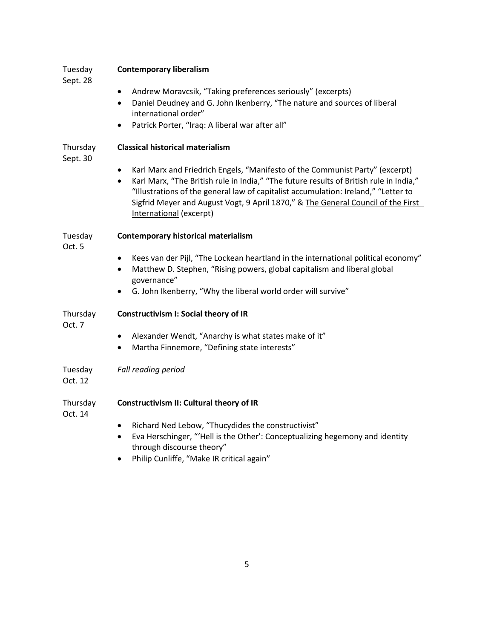| Tuesday<br>Sept. 28  | <b>Contemporary liberalism</b>                                                                                                                                                                                                                                                                                                                                                                        |
|----------------------|-------------------------------------------------------------------------------------------------------------------------------------------------------------------------------------------------------------------------------------------------------------------------------------------------------------------------------------------------------------------------------------------------------|
|                      | Andrew Moravcsik, "Taking preferences seriously" (excerpts)<br>$\bullet$<br>Daniel Deudney and G. John Ikenberry, "The nature and sources of liberal<br>$\bullet$<br>international order"                                                                                                                                                                                                             |
|                      | Patrick Porter, "Iraq: A liberal war after all"<br>$\bullet$                                                                                                                                                                                                                                                                                                                                          |
| Thursday<br>Sept. 30 | <b>Classical historical materialism</b>                                                                                                                                                                                                                                                                                                                                                               |
|                      | Karl Marx and Friedrich Engels, "Manifesto of the Communist Party" (excerpt)<br>$\bullet$<br>Karl Marx, "The British rule in India," "The future results of British rule in India,"<br>$\bullet$<br>"Illustrations of the general law of capitalist accumulation: Ireland," "Letter to<br>Sigfrid Meyer and August Vogt, 9 April 1870," & The General Council of the First<br>International (excerpt) |
| Tuesday<br>Oct. 5    | <b>Contemporary historical materialism</b>                                                                                                                                                                                                                                                                                                                                                            |
|                      | Kees van der Pijl, "The Lockean heartland in the international political economy"<br>$\bullet$<br>Matthew D. Stephen, "Rising powers, global capitalism and liberal global<br>$\bullet$<br>governance"                                                                                                                                                                                                |
|                      | G. John Ikenberry, "Why the liberal world order will survive"<br>٠                                                                                                                                                                                                                                                                                                                                    |
| Thursday<br>Oct. 7   | Constructivism I: Social theory of IR                                                                                                                                                                                                                                                                                                                                                                 |
|                      | Alexander Wendt, "Anarchy is what states make of it"<br>$\bullet$<br>Martha Finnemore, "Defining state interests"<br>$\bullet$                                                                                                                                                                                                                                                                        |
| Tuesday<br>Oct. 12   | Fall reading period                                                                                                                                                                                                                                                                                                                                                                                   |
| Thursday<br>Oct. 14  | Constructivism II: Cultural theory of IR                                                                                                                                                                                                                                                                                                                                                              |
|                      | Richard Ned Lebow, "Thucydides the constructivist"<br>$\bullet$                                                                                                                                                                                                                                                                                                                                       |
|                      | Eva Herschinger, "'Hell is the Other': Conceptualizing hegemony and identity<br>$\bullet$<br>through discourse theory"                                                                                                                                                                                                                                                                                |
|                      | Philip Cunliffe, "Make IR critical again"<br>$\bullet$                                                                                                                                                                                                                                                                                                                                                |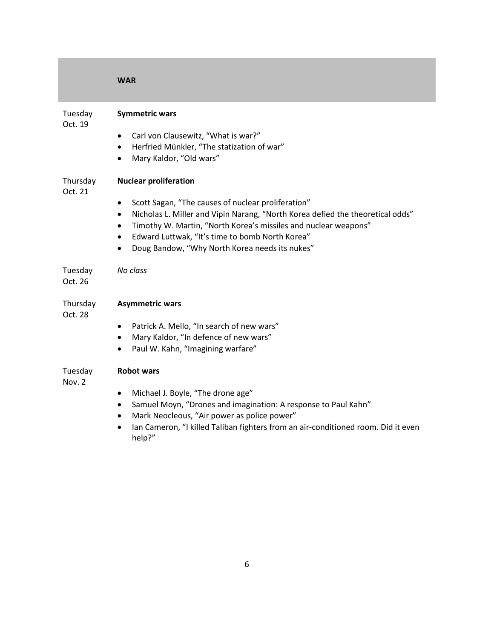|                     | <b>WAR</b>                                                                                                                                                                                                                                                                                                                                                                                                    |
|---------------------|---------------------------------------------------------------------------------------------------------------------------------------------------------------------------------------------------------------------------------------------------------------------------------------------------------------------------------------------------------------------------------------------------------------|
| Tuesday<br>Oct. 19  | <b>Symmetric wars</b><br>Carl von Clausewitz, "What is war?"<br>$\bullet$<br>Herfried Münkler, "The statization of war"<br>$\bullet$<br>Mary Kaldor, "Old wars"<br>$\bullet$                                                                                                                                                                                                                                  |
| Thursday<br>Oct. 21 | <b>Nuclear proliferation</b><br>Scott Sagan, "The causes of nuclear proliferation"<br>$\bullet$<br>Nicholas L. Miller and Vipin Narang, "North Korea defied the theoretical odds"<br>$\bullet$<br>Timothy W. Martin, "North Korea's missiles and nuclear weapons"<br>$\bullet$<br>Edward Luttwak, "It's time to bomb North Korea"<br>$\bullet$<br>Doug Bandow, "Why North Korea needs its nukes"<br>$\bullet$ |
| Tuesday<br>Oct. 26  | No class                                                                                                                                                                                                                                                                                                                                                                                                      |
| Thursday<br>Oct. 28 | <b>Asymmetric wars</b><br>Patrick A. Mello, "In search of new wars"<br>$\bullet$<br>Mary Kaldor, "In defence of new wars"<br>$\bullet$<br>Paul W. Kahn, "Imagining warfare"<br>$\bullet$                                                                                                                                                                                                                      |
| Tuesday<br>Nov. 2   | <b>Robot wars</b><br>Michael J. Boyle, "The drone age"<br>$\bullet$<br>Samuel Moyn, "Drones and imagination: A response to Paul Kahn"<br>٠<br>Mark Neocleous, "Air power as police power"<br>٠<br>Ian Cameron, "I killed Taliban fighters from an air-conditioned room. Did it even<br>help?"                                                                                                                 |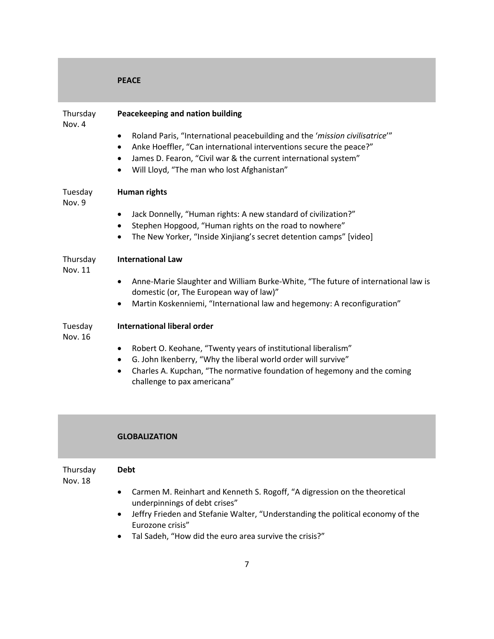|                            | <b>PEACE</b>                                                                                                                                                                                                                                                                                                   |
|----------------------------|----------------------------------------------------------------------------------------------------------------------------------------------------------------------------------------------------------------------------------------------------------------------------------------------------------------|
| Thursday<br>Nov. 4         | Peacekeeping and nation building                                                                                                                                                                                                                                                                               |
|                            | Roland Paris, "International peacebuilding and the 'mission civilisatrice'"<br>$\bullet$<br>Anke Hoeffler, "Can international interventions secure the peace?"<br>٠<br>James D. Fearon, "Civil war & the current international system"<br>$\bullet$<br>Will Lloyd, "The man who lost Afghanistan"<br>$\bullet$ |
| Tuesday<br>Nov. 9          | Human rights                                                                                                                                                                                                                                                                                                   |
|                            | Jack Donnelly, "Human rights: A new standard of civilization?"<br>$\bullet$                                                                                                                                                                                                                                    |
|                            | Stephen Hopgood, "Human rights on the road to nowhere"<br>$\bullet$<br>The New Yorker, "Inside Xinjiang's secret detention camps" [video]<br>$\bullet$                                                                                                                                                         |
| Thursday<br><b>Nov. 11</b> | <b>International Law</b>                                                                                                                                                                                                                                                                                       |
|                            | Anne-Marie Slaughter and William Burke-White, "The future of international law is<br>$\bullet$<br>domestic (or, The European way of law)"                                                                                                                                                                      |
|                            | Martin Koskenniemi, "International law and hegemony: A reconfiguration"<br>٠                                                                                                                                                                                                                                   |
| Tuesday<br>Nov. 16         | <b>International liberal order</b>                                                                                                                                                                                                                                                                             |
|                            | Robert O. Keohane, "Twenty years of institutional liberalism"<br>$\bullet$<br>G. John Ikenberry, "Why the liberal world order will survive"<br>٠                                                                                                                                                               |
|                            | Charles A. Kupchan, "The normative foundation of hegemony and the coming<br>$\bullet$<br>challenge to pax americana"                                                                                                                                                                                           |

## **GLOBALIZATION**

| Thursday |  |
|----------|--|
| Nov 18   |  |

**Debt**

Nov. 18

- Carmen M. Reinhart and Kenneth S. Rogoff, "A digression on the theoretical underpinnings of debt crises"
- Jeffry Frieden and Stefanie Walter, "Understanding the political economy of the Eurozone crisis"
- Tal Sadeh, "How did the euro area survive the crisis?"